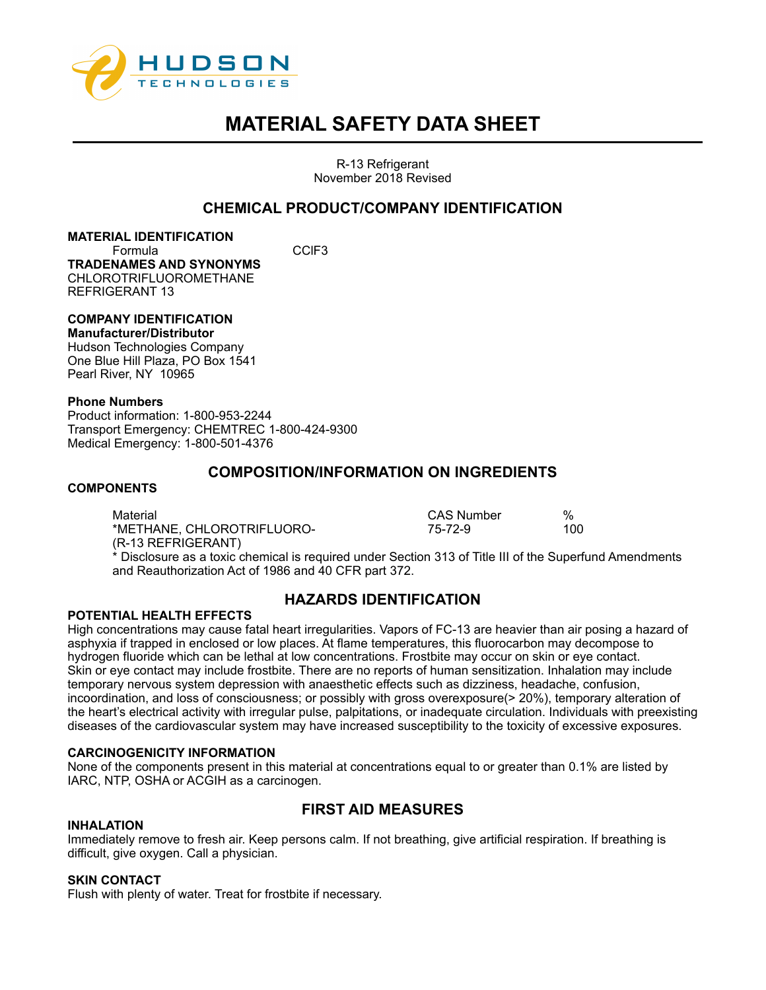

R-13 Refrigerant November 2018 Revised

# **CHEMICAL PRODUCT/COMPANY IDENTIFICATION**

### **MATERIAL IDENTIFICATION**

Formula CClF3 **TRADENAMES AND SYNONYMS** CHI OROTRIFI LIOROMETHANE REFRIGERANT 13

# **COMPANY IDENTIFICATION**

#### **Manufacturer/Distributor**

Hudson Technologies Company One Blue Hill Plaza, PO Box 1541 Pearl River, NY 10965

#### **Phone Numbers**

Product information: 1-800-953-2244 Transport Emergency: CHEMTREC 1-800-424-9300 Medical Emergency: 1-800-501-4376

## **COMPOSITION/INFORMATION ON INGREDIENTS**

#### **COMPONENTS**

Material CAS Number % \*METHANE, CHLOROTRIFLUORO-(R-13 REFRIGERANT) \* Disclosure as a toxic chemical is required under Section 313 of Title III of the Superfund Amendments and Reauthorization Act of 1986 and 40 CFR part 372.

#### **POTENTIAL HEALTH EFFECTS**

# **HAZARDS IDENTIFICATION**

High concentrations may cause fatal heart irregularities. Vapors of FC-13 are heavier than air posing a hazard of asphyxia if trapped in enclosed or low places. At flame temperatures, this fluorocarbon may decompose to hydrogen fluoride which can be lethal at low concentrations. Frostbite may occur on skin or eye contact. Skin or eye contact may include frostbite. There are no reports of human sensitization. Inhalation may include temporary nervous system depression with anaesthetic effects such as dizziness, headache, confusion, incoordination, and loss of consciousness; or possibly with gross overexposure(> 20%), temporary alteration of the heart's electrical activity with irregular pulse, palpitations, or inadequate circulation. Individuals with preexisting diseases of the cardiovascular system may have increased susceptibility to the toxicity of excessive exposures.

#### **CARCINOGENICITY INFORMATION**

None of the components present in this material at concentrations equal to or greater than 0.1% are listed by IARC, NTP, OSHA or ACGIH as a carcinogen.

#### **INHALATION**

# **FIRST AID MEASURES**

Immediately remove to fresh air. Keep persons calm. If not breathing, give artificial respiration. If breathing is difficult, give oxygen. Call a physician.

#### **SKIN CONTACT**

Flush with plenty of water. Treat for frostbite if necessary.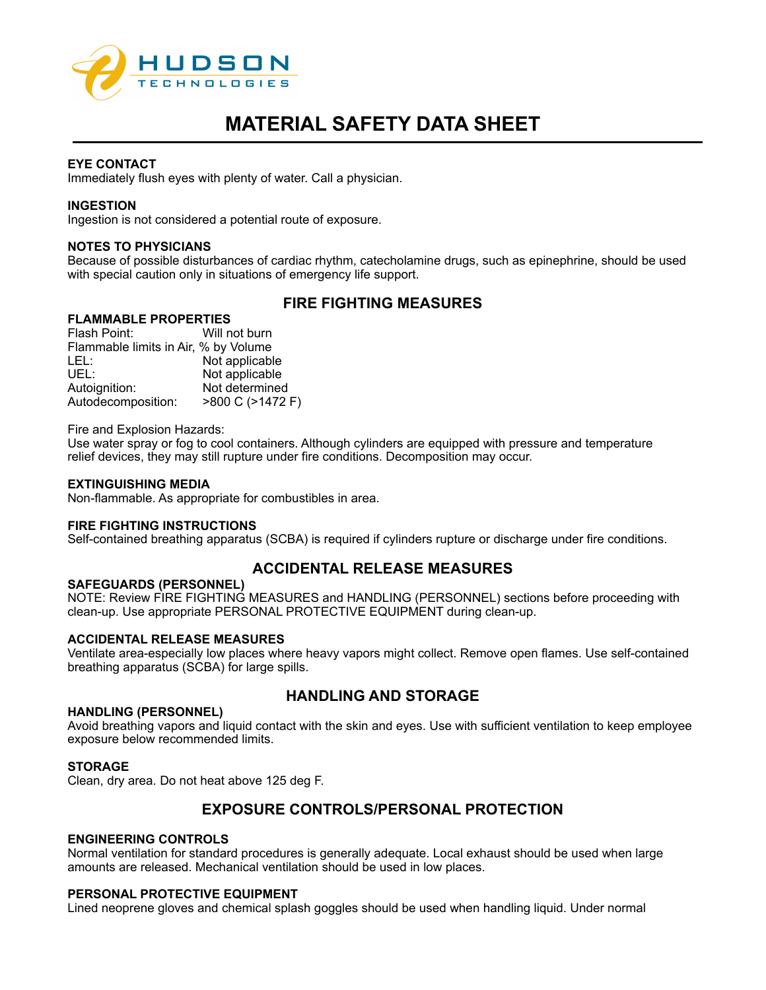

#### **EYE CONTACT**

Immediately flush eyes with plenty of water. Call a physician.

#### **INGESTION**

Ingestion is not considered a potential route of exposure.

#### **NOTES TO PHYSICIANS**

Because of possible disturbances of cardiac rhythm, catecholamine drugs, such as epinephrine, should be used with special caution only in situations of emergency life support.

# **FIRE FIGHTING MEASURES**

#### **FLAMMABLE PROPERTIES**

Flash Point: Will not burn Flammable limits in Air, % by Volume LEL: Not applicable UEL: Not applicable Autoignition: Not determined<br>Autodecomposition: >800 C (>1472 F) Autodecomposition:

Fire and Explosion Hazards:

Use water spray or fog to cool containers. Although cylinders are equipped with pressure and temperature relief devices, they may still rupture under fire conditions. Decomposition may occur.

#### **EXTINGUISHING MEDIA**

Non-flammable. As appropriate for combustibles in area.

#### **FIRE FIGHTING INSTRUCTIONS**

Self-contained breathing apparatus (SCBA) is required if cylinders rupture or discharge under fire conditions.

## **ACCIDENTAL RELEASE MEASURES**

#### **SAFEGUARDS (PERSONNEL)**

NOTE: Review FIRE FIGHTING MEASURES and HANDLING (PERSONNEL) sections before proceeding with clean-up. Use appropriate PERSONAL PROTECTIVE EQUIPMENT during clean-up.

#### **ACCIDENTAL RELEASE MEASURES**

Ventilate area-especially low places where heavy vapors might collect. Remove open flames. Use self-contained breathing apparatus (SCBA) for large spills.

# **HANDLING AND STORAGE**

#### **HANDLING (PERSONNEL)**

Avoid breathing vapors and liquid contact with the skin and eyes. Use with sufficient ventilation to keep employee exposure below recommended limits.

#### **STORAGE**

Clean, dry area. Do not heat above 125 deg F.

## **EXPOSURE CONTROLS/PERSONAL PROTECTION**

#### **ENGINEERING CONTROLS**

Normal ventilation for standard procedures is generally adequate. Local exhaust should be used when large amounts are released. Mechanical ventilation should be used in low places.

#### **PERSONAL PROTECTIVE EQUIPMENT**

Lined neoprene gloves and chemical splash goggles should be used when handling liquid. Under normal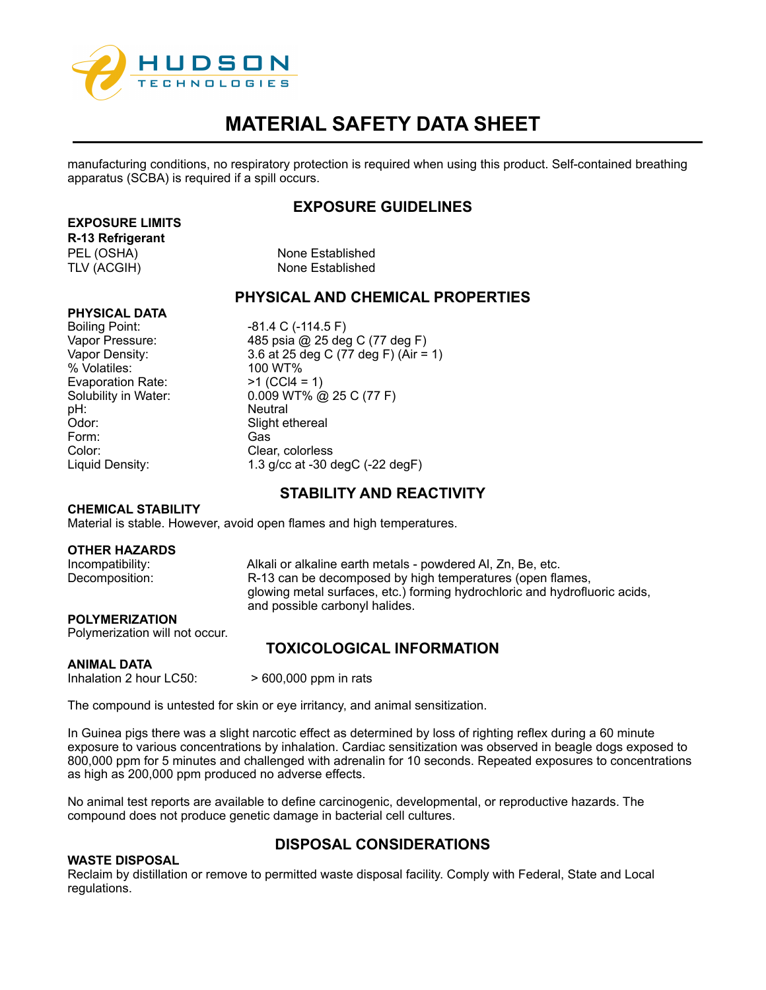

manufacturing conditions, no respiratory protection is required when using this product. Self-contained breathing apparatus (SCBA) is required if a spill occurs.

# **EXPOSURE GUIDELINES**

## **EXPOSURE LIMITS**

**R-13 Refrigerant**

PEL (OSHA) None Established TLV (ACGIH) None Established

# **PHYSICAL AND CHEMICAL PROPERTIES**

## **PHYSICAL DATA**

% Volatiles: Evaporation Rate:  $>1$  (CCl4 = 1) pH: Neutral Odor: Slight ethereal Form: Gas<br>Color: Gas

Boiling Point: -81.4 C (-114.5 F) Vapor Pressure: 485 psia @ 25 deg C (77 deg F) Vapor Density:  $3.6$  at 25 deg C (77 deg F) (Air = 1)<br>% Volatiles:  $100 \text{ WT\%}$ Solubility in Water: 0.009 WT% @ 25 C (77 F) Clear, colorless Liquid Density: 1.3 g/cc at -30 degC (-22 degF)

# **STABILITY AND REACTIVITY**

### **CHEMICAL STABILITY**

Material is stable. However, avoid open flames and high temperatures.

### **OTHER HAZARDS**

Incompatibility: Alkali or alkaline earth metals - powdered Al, Zn, Be, etc.<br>Decomposition: R-13 can be decomposed by high temperatures (open fla R-13 can be decomposed by high temperatures (open flames, glowing metal surfaces, etc.) forming hydrochloric and hydrofluoric acids, and possible carbonyl halides.

## **POLYMERIZATION**

Polymerization will not occur.

# **TOXICOLOGICAL INFORMATION**

#### **ANIMAL DATA**

Inhalation 2 hour LC50:  $> 600,000$  ppm in rats

The compound is untested for skin or eye irritancy, and animal sensitization.

In Guinea pigs there was a slight narcotic effect as determined by loss of righting reflex during a 60 minute exposure to various concentrations by inhalation. Cardiac sensitization was observed in beagle dogs exposed to 800,000 ppm for 5 minutes and challenged with adrenalin for 10 seconds. Repeated exposures to concentrations as high as 200,000 ppm produced no adverse effects.

No animal test reports are available to define carcinogenic, developmental, or reproductive hazards. The compound does not produce genetic damage in bacterial cell cultures.

# **DISPOSAL CONSIDERATIONS**

#### **WASTE DISPOSAL**

Reclaim by distillation or remove to permitted waste disposal facility. Comply with Federal, State and Local regulations.